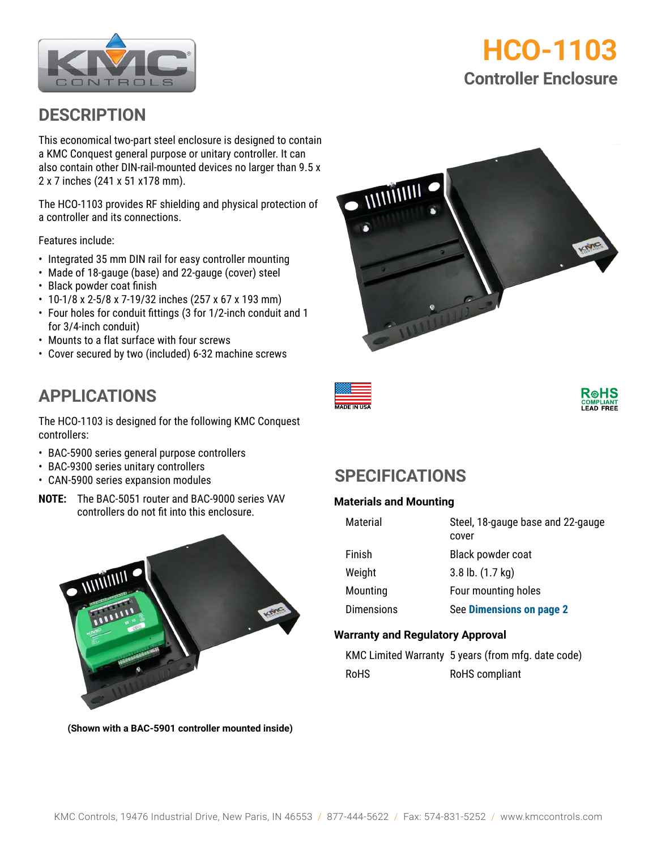

# **HCO-1103 Controller Enclosure**

### **DESCRIPTION**

This economical two-part steel enclosure is designed to contain a KMC Conquest general purpose or unitary controller. It can also contain other DIN-rail-mounted devices no larger than 9.5 x 2 x 7 inches (241 x 51 x178 mm).

The HCO-1103 provides RF shielding and physical protection of a controller and its connections.

Features include:

- Integrated 35 mm DIN rail for easy controller mounting
- Made of 18-gauge (base) and 22-gauge (cover) steel
- Black powder coat finish
- 10-1/8 x 2-5/8 x 7-19/32 inches (257 x 67 x 193 mm)
- Four holes for conduit fittings (3 for 1/2-inch conduit and 1 for 3/4-inch conduit)
- Mounts to a flat surface with four screws
- Cover secured by two (included) 6-32 machine screws







# **APPLICATIONS**

The HCO-1103 is designed for the following KMC Conquest controllers:

- BAC-5900 series general purpose controllers
- BAC-9300 series unitary controllers
- CAN-5900 series expansion modules
- **NOTE:** The BAC-5051 router and BAC-9000 series VAV controllers do not fit into this enclosure.



**(Shown with a BAC-5901 controller mounted inside)**

## **SPECIFICATIONS**

#### **Materials and Mounting**

| Material          | Steel, 18-gauge base and 22-gauge<br>cover |
|-------------------|--------------------------------------------|
| Finish            | Black powder coat                          |
| Weight            | $3.8$ lb. $(1.7 \text{ kg})$               |
| Mounting          | Four mounting holes                        |
| <b>Dimensions</b> | See Dimensions on page 2                   |

#### **Warranty and Regulatory Approval**

KMC Limited Warranty 5 years (from mfg. date code) RoHS RoHS compliant